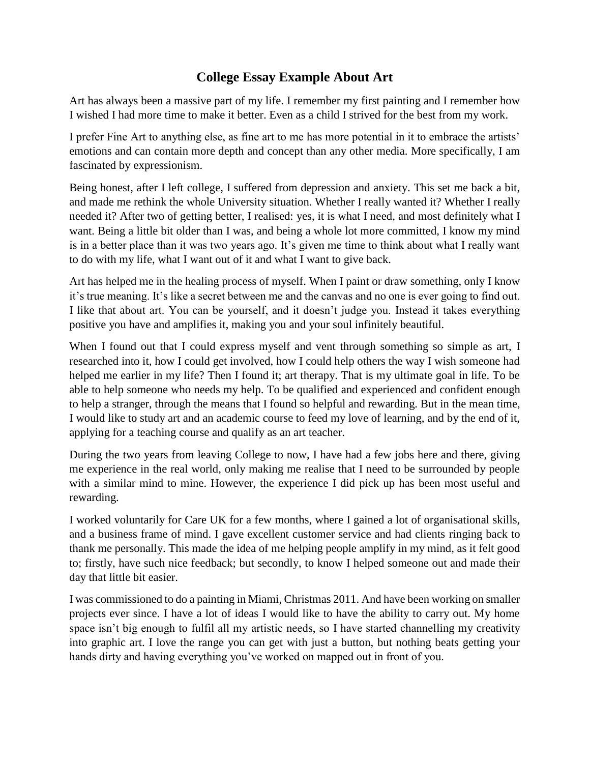## **College Essay Example About Art**

Art has always been a massive part of my life. I remember my first painting and I remember how I wished I had more time to make it better. Even as a child I strived for the best from my work.

I prefer Fine Art to anything else, as fine art to me has more potential in it to embrace the artists' emotions and can contain more depth and concept than any other media. More specifically, I am fascinated by expressionism.

Being honest, after I left college, I suffered from depression and anxiety. This set me back a bit, and made me rethink the whole University situation. Whether I really wanted it? Whether I really needed it? After two of getting better, I realised: yes, it is what I need, and most definitely what I want. Being a little bit older than I was, and being a whole lot more committed, I know my mind is in a better place than it was two years ago. It's given me time to think about what I really want to do with my life, what I want out of it and what I want to give back.

Art has helped me in the healing process of myself. When I paint or draw something, only I know it's true meaning. It's like a secret between me and the canvas and no one is ever going to find out. I like that about art. You can be yourself, and it doesn't judge you. Instead it takes everything positive you have and amplifies it, making you and your soul infinitely beautiful.

When I found out that I could express myself and vent through something so simple as art, I researched into it, how I could get involved, how I could help others the way I wish someone had helped me earlier in my life? Then I found it; art therapy. That is my ultimate goal in life. To be able to help someone who needs my help. To be qualified and experienced and confident enough to help a stranger, through the means that I found so helpful and rewarding. But in the mean time, I would like to study art and an academic course to feed my love of learning, and by the end of it, applying for a teaching course and qualify as an art teacher.

During the two years from leaving College to now, I have had a few jobs here and there, giving me experience in the real world, only making me realise that I need to be surrounded by people with a similar mind to mine. However, the experience I did pick up has been most useful and rewarding.

I worked voluntarily for Care UK for a few months, where I gained a lot of organisational skills, and a business frame of mind. I gave excellent customer service and had clients ringing back to thank me personally. This made the idea of me helping people amplify in my mind, as it felt good to; firstly, have such nice feedback; but secondly, to know I helped someone out and made their day that little bit easier.

I was commissioned to do a painting in Miami, Christmas 2011. And have been working on smaller projects ever since. I have a lot of ideas I would like to have the ability to carry out. My home space isn't big enough to fulfil all my artistic needs, so I have started channelling my creativity into graphic art. I love the range you can get with just a button, but nothing beats getting your hands dirty and having everything you've worked on mapped out in front of you.